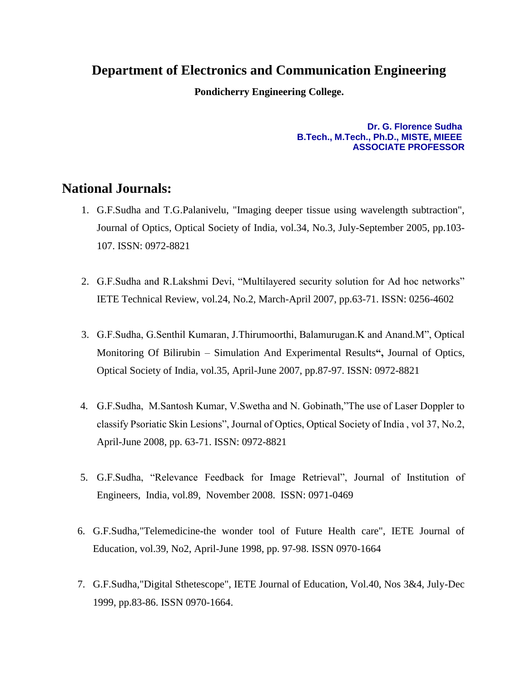## **Department of Electronics and Communication Engineering**

**Pondicherry Engineering College.**

**Dr. G. Florence Sudha B.Tech., M.Tech., Ph.D., MISTE, MIEEE ASSOCIATE PROFESSOR**

## **National Journals:**

- 1. G.F.Sudha and T.G.Palanivelu, "Imaging deeper tissue using wavelength subtraction", Journal of Optics, Optical Society of India, vol.34, No.3, July-September 2005, pp.103- 107. ISSN: 0972-8821
- 2. G.F.Sudha and R.Lakshmi Devi, "Multilayered security solution for Ad hoc networks" IETE Technical Review, vol.24, No.2, March-April 2007, pp.63-71. ISSN: 0256-4602
- 3. G.F.Sudha, G.Senthil Kumaran, J.Thirumoorthi, Balamurugan.K and Anand.M", Optical Monitoring Of Bilirubin – Simulation And Experimental Results**",** Journal of Optics, Optical Society of India, vol.35, April-June 2007, pp.87-97. ISSN: 0972-8821
- 4. G.F.Sudha, M.Santosh Kumar, V.Swetha and N. Gobinath,"The use of Laser Doppler to classify Psoriatic Skin Lesions", Journal of Optics, Optical Society of India , vol 37, No.2, April-June 2008, pp. 63-71. ISSN: 0972-8821
- 5. G.F.Sudha, "Relevance Feedback for Image Retrieval", Journal of Institution of Engineers, India, vol.89, November 2008. ISSN: 0971-0469
- 6. G.F.Sudha,"Telemedicine-the wonder tool of Future Health care", IETE Journal of Education, vol.39, No2, April-June 1998, pp. 97-98. ISSN 0970-1664
- 7. G.F.Sudha,"Digital Sthetescope", IETE Journal of Education, Vol.40, Nos 3&4, July-Dec 1999, pp.83-86. ISSN 0970-1664.